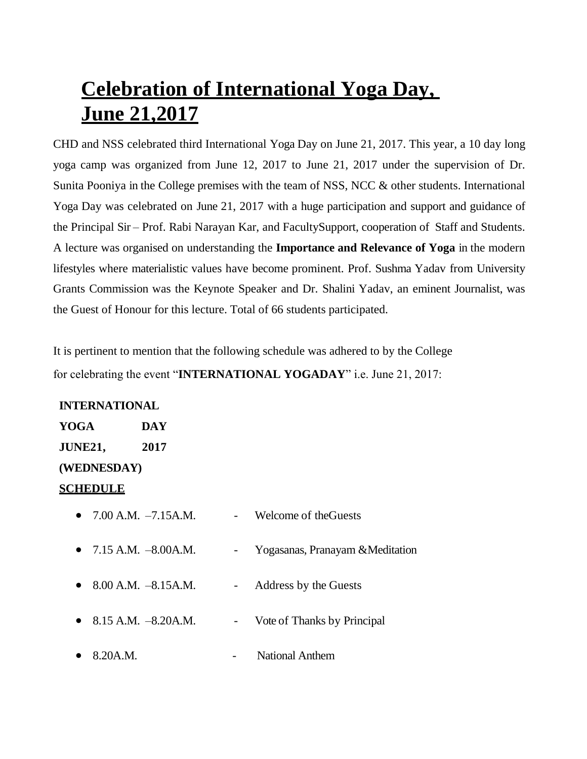## **Celebration of International Yoga Day, June 21,2017**

CHD and NSS celebrated third International Yoga Day on June 21, 2017. This year, a 10 day long yoga camp was organized from June 12, 2017 to June 21, 2017 under the supervision of Dr. Sunita Pooniya in the College premises with the team of NSS, NCC & other students. International Yoga Day was celebrated on June 21, 2017 with a huge participation and support and guidance of the Principal Sir – Prof. Rabi Narayan Kar, and FacultySupport, cooperation of Staff and Students. A lecture was organised on understanding the **Importance and Relevance of Yoga** in the modern lifestyles where materialistic values have become prominent. Prof. Sushma Yadav from University Grants Commission was the Keynote Speaker and Dr. Shalini Yadav, an eminent Journalist, was the Guest of Honour for this lecture. Total of 66 students participated.

It is pertinent to mention that the following schedule was adhered to by the College for celebrating the event "**INTERNATIONAL YOGADAY**" i.e. June 21, 2017:

## **INTERNATIONAL**

| YOGA        | DAY  |  |
|-------------|------|--|
| JUNE21,     | 2017 |  |
| (WEDNESDAY) |      |  |

## **SCHEDULE**

| • $7.00$ A.M. $-7.15$ A.M. |        | Welcome of the Guests            |
|----------------------------|--------|----------------------------------|
| • 7.15 A.M. $-8.00$ A.M.   | $\sim$ | Yogasanas, Pranayam & Meditation |
| $8.00$ A.M. $-8.15$ A.M.   | $\sim$ | Address by the Guests            |
| • 8.15 A.M. $-8.20$ A.M.   | $\sim$ | Vote of Thanks by Principal      |
| 8.20A.M.                   |        | <b>National Anthem</b>           |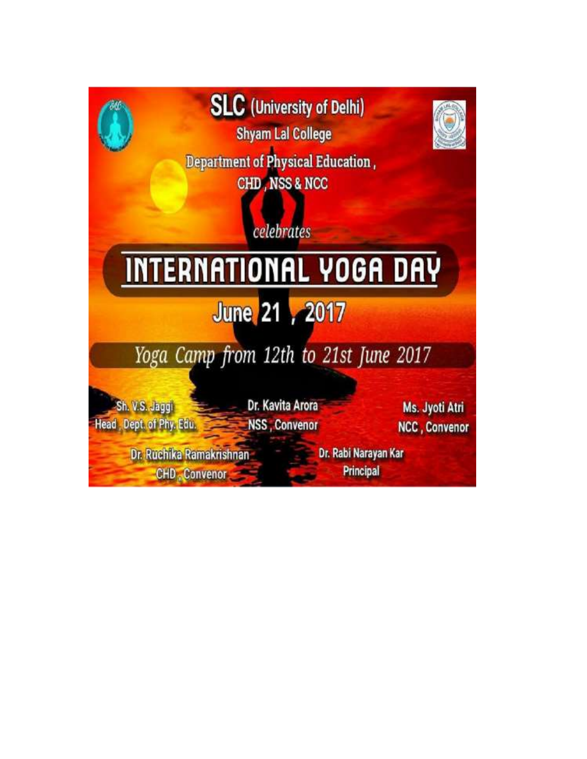